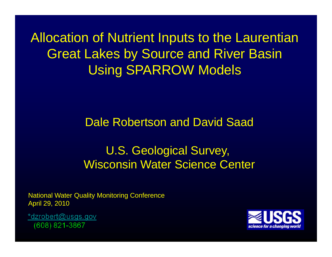Allocation of Nutrient Inputs to the Laurentian Great Lakes by Source and River Basin Using SPARROW Models

Dale Robertson and David Saad

# U.S. Geological Survey, Wisconsin Water Science Center

National Water Quality Monitoring Conference April 29, 2010

\*dzrobert@usgs.gov (608) 821-3867

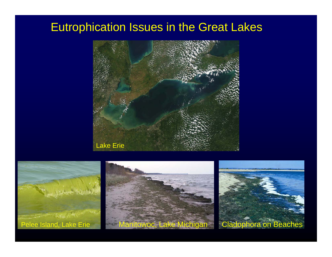## Eutrophication Issues in the Great Lakes



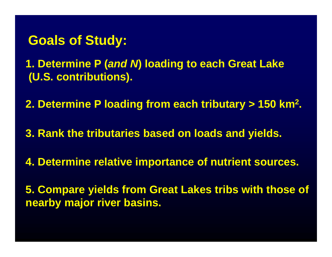# **Goals of Study:**

**1. Determine P (***and N***) loading to each Great Lake (U.S. contributions).**

**2. Determine P loading from each tributary > 150 km2.**

**3. Rank the tributaries based on loads and yields.**

**4. Determine relative importance of nutrient sources.**

**5. Compare yields from Great Lakes tribs with those of nearby major river basins.**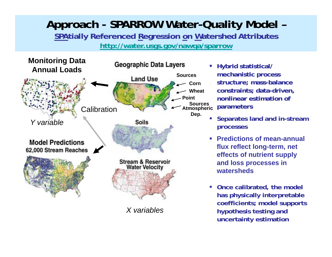## **Approach - SPARROW Water-Quality Model – SPAtially Referenced Regression on Watershed Attributes**

**<http://water.usgs.gov/nawqa/sparrow>**



*X variables*

- ш **Hybrid statistical/ mechanistic process structure; mass-balance constraints; data-driven, nonlinear estimation of parameters**
- **Separates land and in-stream processes**
- **Predictions of mean-annual flux reflect long-term, net effects of nutrient supply and loss processes in watersheds**
- **Once calibrated, the model has physically interpretable coefficients; model supports hypothesis testing and uncertainty estimation**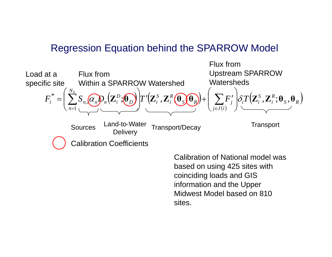## Regression Equation behind the SPARROW Model



Calibration of National model was based on using 425 sites with coinciding loads and GIS information and the Upper Midwest Model based on 810 sites.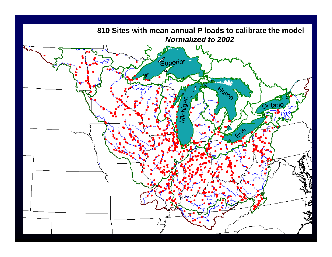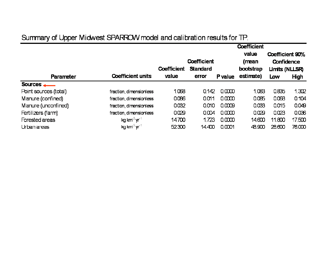### Summary of Upper Midwest SPARROW model and calibration results for TP.

|                       |                                      | <b>Coefficient</b> |                 |         |                |                                      |             |
|-----------------------|--------------------------------------|--------------------|-----------------|---------|----------------|--------------------------------------|-------------|
|                       |                                      | <b>Coefficient</b> |                 |         | value<br>(mean | Coefficient 90%<br><b>Confidence</b> |             |
|                       |                                      | <b>Coefficient</b> | <b>Standard</b> |         | bootstrap      | Limits (NLLSR)                       |             |
| <b>Parameter</b>      | <b>Coefficient units</b>             | value              | error           | P value | estimate)      | Low                                  | <b>High</b> |
| Sources $\frac{1}{2}$ |                                      |                    |                 |         |                |                                      |             |
| Point sources (total) | fraction, dimensionless              | 1.068              | 0.142           | 0.0000  | 1.083          | 0.835                                | 1.302       |
| Manure (confined)     | fraction, dimensionless              | 0.086              | 0.011           | 0.0000  | 0.085          | 0.068                                | 0.104       |
| Manure (unconfined)   | fraction, dimensionless              | 0.032              | 0.010           | 0.0009  | 0.033          | 0.015                                | 0.049       |
| Fertilizers (farm)    | fraction, dimensionless              | 0.029              | 0,004           | 0.0000  | 0.029          | 0.023                                | 0.036       |
| Forested areas        | kg km <sup>-2</sup> yr <sup>-1</sup> | 14700              | 1.723           | 0.0000  | 14.600         | 11.800                               | 17.500      |
| Urban areas           | kg km $^2$ yr <sup>1</sup>           | 52300              | 14400           | 0.0001  | 48.900         | 28.600                               | 76.000      |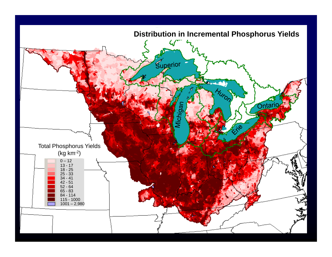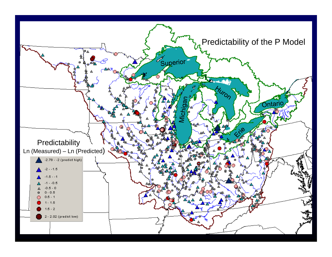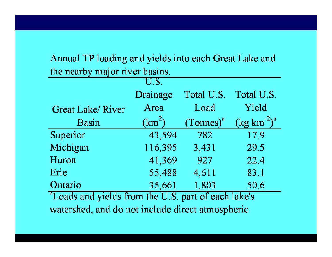Annual TP loading and yields into each Great Lake and the nearby major river basins.

|                                                                 | U.S.               |              |                                 |  |  |  |
|-----------------------------------------------------------------|--------------------|--------------|---------------------------------|--|--|--|
|                                                                 | Drainage           | Total U.S.   | Total U.S.                      |  |  |  |
| <b>Great Lake/River</b>                                         | Area               | Load         | Yield                           |  |  |  |
| <b>Basin</b>                                                    | (km <sup>2</sup> ) | $(Tonnes)^a$ | $\left(\text{kg km}^2\right)^a$ |  |  |  |
| Superior                                                        | 43,594             | 782          | 17.9                            |  |  |  |
| Michigan                                                        | 116,395            | 3,431        | 29.5                            |  |  |  |
| Huron                                                           | 41,369             | 927          | 22.4                            |  |  |  |
| Erie                                                            | 55,488             | 4,611        | 83.1                            |  |  |  |
| Ontario                                                         | 35,661             | 1,803        | 50.6                            |  |  |  |
| <sup>a</sup> Loads and yields from the U.S. part of each lake's |                    |              |                                 |  |  |  |
| $\sim$ 1 1 1 1 1 1 $\sim$ 1 1 $\sim$                            |                    |              |                                 |  |  |  |

watershed, and do not include direct atmospheric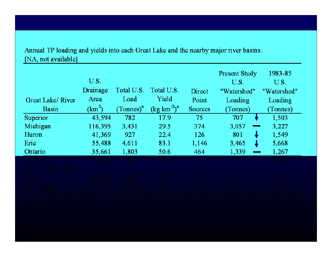#### Annual TP loading and yields into each Great Lake and the nearby major river basins. [NA, not available]

|                  | U.S.     |                |                                             |                | Present Study<br>U.S. | 1983-85<br>U.S. |
|------------------|----------|----------------|---------------------------------------------|----------------|-----------------------|-----------------|
|                  | Drainage | Total U.S.     | Total U.S.                                  | Direct         | "Watershed"           | "Watershed"     |
| Great Lake/River | Area     | Load           | Yield                                       | Point          | Loading               | Loading         |
| Basin            | $(km^2)$ | $(Tonnes)^{a}$ | $\left(\text{kg km}^{-2}\right)^{\text{a}}$ | <b>Sources</b> | (Tonnes)              | (Tonnes)        |
| Superior         | 43,594   | 782            | 17.9                                        | 75             | 707                   | 1,503           |
| Michigan         | 116,395  | 3,431          | 29.5                                        | 374            | 3,057                 | 3,227           |
| Huron            | 41,369   | 927            | 22.4                                        | 126            | 801                   | 1,549           |
| Erie             | 55,488   | 4,611          | 83.1                                        | 1,146          | 3,465                 | 5,668           |
| Ontario          | 35,661   | 1,803          | 50.6                                        | 464            | 1,339                 | 1,267           |
|                  |          |                |                                             |                |                       |                 |
|                  |          |                |                                             |                |                       |                 |
|                  |          |                |                                             |                |                       |                 |
|                  |          |                |                                             |                |                       |                 |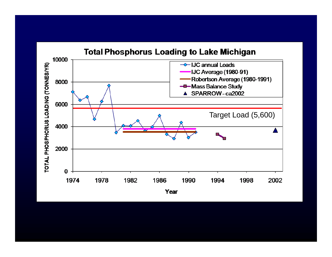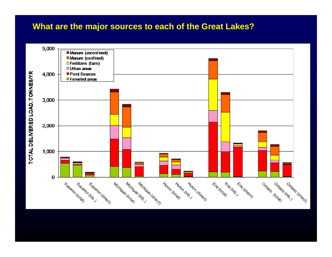### **What are the major sources to each of the Great Lakes?**



TOTAL DELIVERED LOAD, TONNES/YR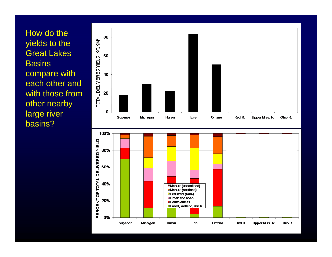How do the yields to the Great Lakes **Basins** compare with each other and with those from other nearby large river basins?



Urban and open

Erie

Ontario

Red R

**UpperMiss. R.** 

**Ohio R** 

**Point Sources E** Forest, wetland, shrub

**Huron** 

20%

0%

Superior

Michigan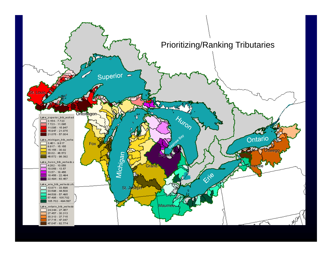